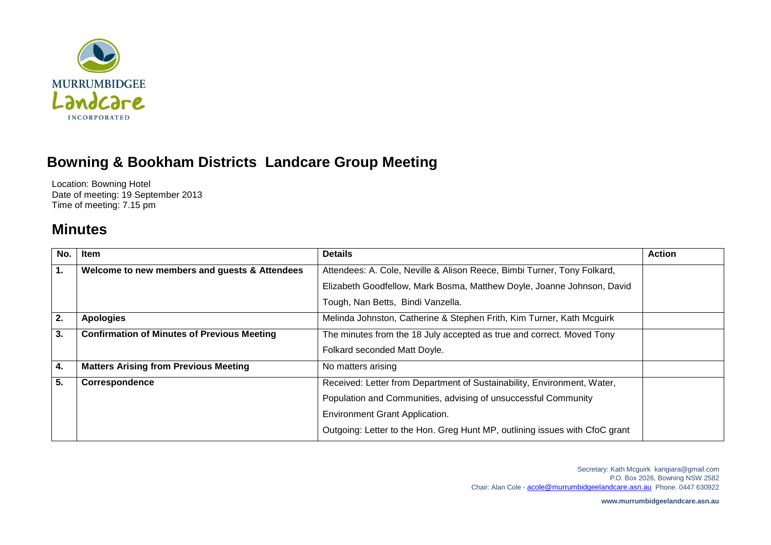

## **Bowning & Bookham Districts Landcare Group Meeting**

Location: Bowning Hotel Date of meeting: 19 September 2013 Time of meeting: 7.15 pm

## **Minutes**

| No. | <b>Item</b>                                        | <b>Details</b>                                                              | <b>Action</b> |
|-----|----------------------------------------------------|-----------------------------------------------------------------------------|---------------|
| 1.  | Welcome to new members and guests & Attendees      | Attendees: A. Cole, Neville & Alison Reece, Bimbi Turner, Tony Folkard,     |               |
|     |                                                    | Elizabeth Goodfellow, Mark Bosma, Matthew Doyle, Joanne Johnson, David      |               |
|     |                                                    | Tough, Nan Betts, Bindi Vanzella.                                           |               |
| 2.  | <b>Apologies</b>                                   | Melinda Johnston, Catherine & Stephen Frith, Kim Turner, Kath Mcguirk       |               |
| 3.  | <b>Confirmation of Minutes of Previous Meeting</b> | The minutes from the 18 July accepted as true and correct. Moved Tony       |               |
|     |                                                    | Folkard seconded Matt Doyle.                                                |               |
| 4.  | <b>Matters Arising from Previous Meeting</b>       | No matters arising                                                          |               |
| 5.  | Correspondence                                     | Received: Letter from Department of Sustainability, Environment, Water,     |               |
|     |                                                    | Population and Communities, advising of unsuccessful Community              |               |
|     |                                                    | <b>Environment Grant Application.</b>                                       |               |
|     |                                                    | Outgoing: Letter to the Hon. Greg Hunt MP, outlining issues with CfoC grant |               |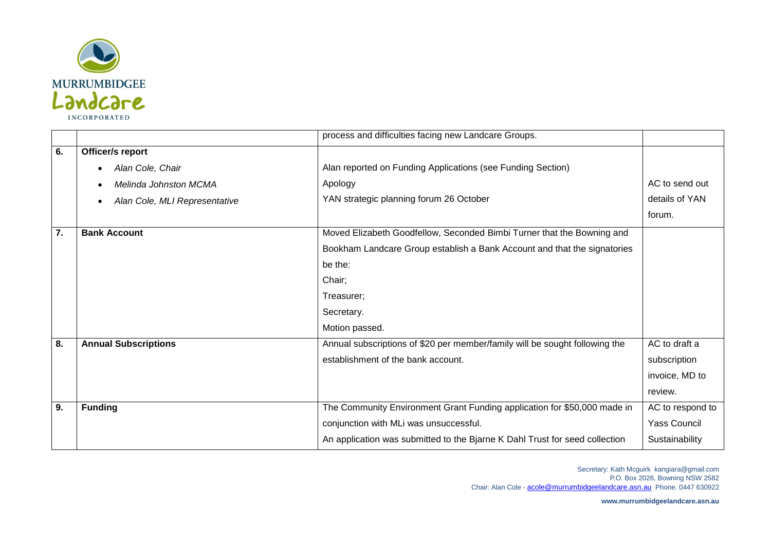

|                  |                                            | process and difficulties facing new Landcare Groups.                        |                     |
|------------------|--------------------------------------------|-----------------------------------------------------------------------------|---------------------|
| 6.               | Officer/s report                           |                                                                             |                     |
|                  | Alan Cole, Chair<br>$\bullet$              | Alan reported on Funding Applications (see Funding Section)                 |                     |
|                  | Melinda Johnston MCMA<br>$\bullet$         | Apology                                                                     | AC to send out      |
|                  | Alan Cole, MLI Representative<br>$\bullet$ | YAN strategic planning forum 26 October                                     | details of YAN      |
|                  |                                            |                                                                             | forum.              |
| $\overline{7}$ . | <b>Bank Account</b>                        | Moved Elizabeth Goodfellow, Seconded Bimbi Turner that the Bowning and      |                     |
|                  |                                            | Bookham Landcare Group establish a Bank Account and that the signatories    |                     |
|                  |                                            | be the:                                                                     |                     |
|                  |                                            | Chair;                                                                      |                     |
|                  |                                            | Treasurer;                                                                  |                     |
|                  |                                            | Secretary.                                                                  |                     |
|                  |                                            | Motion passed.                                                              |                     |
| 8.               | <b>Annual Subscriptions</b>                | Annual subscriptions of \$20 per member/family will be sought following the | AC to draft a       |
|                  |                                            | establishment of the bank account.                                          | subscription        |
|                  |                                            |                                                                             | invoice, MD to      |
|                  |                                            |                                                                             | review.             |
| $\overline{9}$ . | <b>Funding</b>                             | The Community Environment Grant Funding application for \$50,000 made in    | AC to respond to    |
|                  |                                            | conjunction with MLi was unsuccessful.                                      | <b>Yass Council</b> |
|                  |                                            | An application was submitted to the Bjarne K Dahl Trust for seed collection | Sustainability      |

Secretary: Kath Mcguirk kangiara@gmail.com P.O. Box 2026, Bowning NSW 2582 Chair: Alan Cole - acole@murrumbidgeelandcare.asn.au Phone. 0447 630922

**www.murrumbidgeelandcare.asn.au**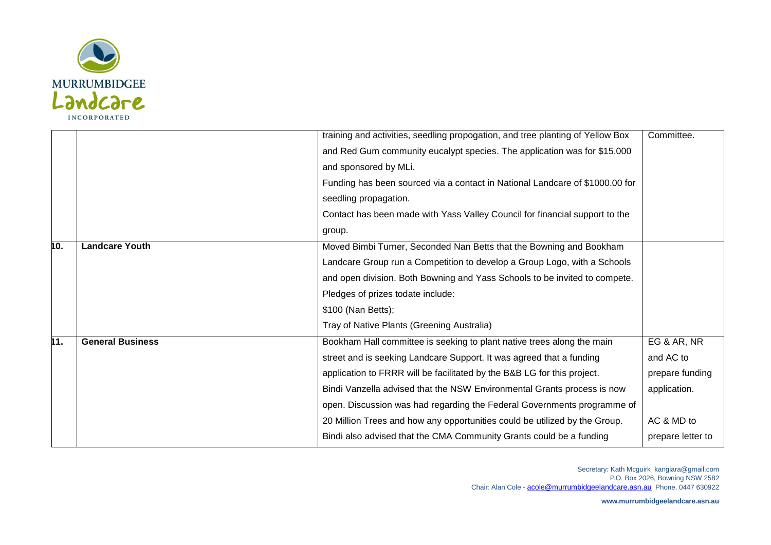

|     |                         | training and activities, seedling propogation, and tree planting of Yellow Box | Committee.        |
|-----|-------------------------|--------------------------------------------------------------------------------|-------------------|
|     |                         | and Red Gum community eucalypt species. The application was for \$15.000       |                   |
|     |                         | and sponsored by MLi.                                                          |                   |
|     |                         | Funding has been sourced via a contact in National Landcare of \$1000.00 for   |                   |
|     |                         | seedling propagation.                                                          |                   |
|     |                         | Contact has been made with Yass Valley Council for financial support to the    |                   |
|     |                         | group.                                                                         |                   |
| 10. | <b>Landcare Youth</b>   | Moved Bimbi Turner, Seconded Nan Betts that the Bowning and Bookham            |                   |
|     |                         | Landcare Group run a Competition to develop a Group Logo, with a Schools       |                   |
|     |                         | and open division. Both Bowning and Yass Schools to be invited to compete.     |                   |
|     |                         | Pledges of prizes todate include:                                              |                   |
|     |                         | \$100 (Nan Betts);                                                             |                   |
|     |                         | Tray of Native Plants (Greening Australia)                                     |                   |
| 11. | <b>General Business</b> | Bookham Hall committee is seeking to plant native trees along the main         | EG & AR, NR       |
|     |                         | street and is seeking Landcare Support. It was agreed that a funding           | and AC to         |
|     |                         | application to FRRR will be facilitated by the B&B LG for this project.        | prepare funding   |
|     |                         | Bindi Vanzella advised that the NSW Environmental Grants process is now        | application.      |
|     |                         | open. Discussion was had regarding the Federal Governments programme of        |                   |
|     |                         | 20 Million Trees and how any opportunities could be utilized by the Group.     | AC & MD to        |
|     |                         | Bindi also advised that the CMA Community Grants could be a funding            | prepare letter to |
|     |                         |                                                                                |                   |

**www.murrumbidgeelandcare.asn.au**